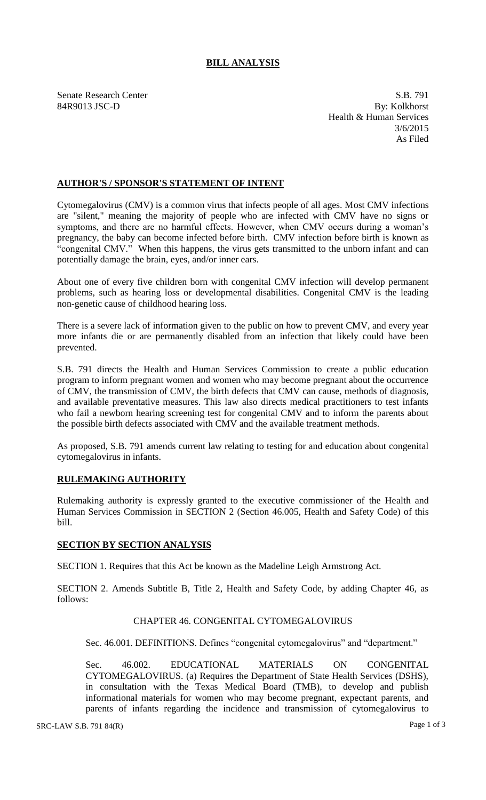# **BILL ANALYSIS**

Senate Research Center S.B. 791 84R9013 JSC-D By: Kolkhorst Health & Human Services 3/6/2015 As Filed

## **AUTHOR'S / SPONSOR'S STATEMENT OF INTENT**

Cytomegalovirus (CMV) is a common virus that infects people of all ages. Most CMV infections are "silent," meaning the majority of people who are infected with CMV have no signs or symptoms, and there are no harmful effects. However, when CMV occurs during a woman's pregnancy, the baby can become infected before birth. CMV infection before birth is known as "congenital CMV." When this happens, the virus gets transmitted to the unborn infant and can potentially damage the brain, eyes, and/or inner ears.

About one of every five children born with congenital CMV infection will develop permanent problems, such as hearing loss or developmental disabilities. Congenital CMV is the leading non-genetic cause of childhood hearing loss.

There is a severe lack of information given to the public on how to prevent CMV, and every year more infants die or are permanently disabled from an infection that likely could have been prevented.

S.B. 791 directs the Health and Human Services Commission to create a public education program to inform pregnant women and women who may become pregnant about the occurrence of CMV, the transmission of CMV, the birth defects that CMV can cause, methods of diagnosis, and available preventative measures. This law also directs medical practitioners to test infants who fail a newborn hearing screening test for congenital CMV and to inform the parents about the possible birth defects associated with CMV and the available treatment methods.

As proposed, S.B. 791 amends current law relating to testing for and education about congenital cytomegalovirus in infants.

### **RULEMAKING AUTHORITY**

Rulemaking authority is expressly granted to the executive commissioner of the Health and Human Services Commission in SECTION 2 (Section 46.005, Health and Safety Code) of this bill.

### **SECTION BY SECTION ANALYSIS**

SECTION 1. Requires that this Act be known as the Madeline Leigh Armstrong Act.

SECTION 2. Amends Subtitle B, Title 2, Health and Safety Code, by adding Chapter 46, as follows:

### CHAPTER 46. CONGENITAL CYTOMEGALOVIRUS

Sec. 46.001. DEFINITIONS. Defines "congenital cytomegalovirus" and "department."

Sec. 46.002. EDUCATIONAL MATERIALS ON CONGENITAL CYTOMEGALOVIRUS. (a) Requires the Department of State Health Services (DSHS), in consultation with the Texas Medical Board (TMB), to develop and publish informational materials for women who may become pregnant, expectant parents, and parents of infants regarding the incidence and transmission of cytomegalovirus to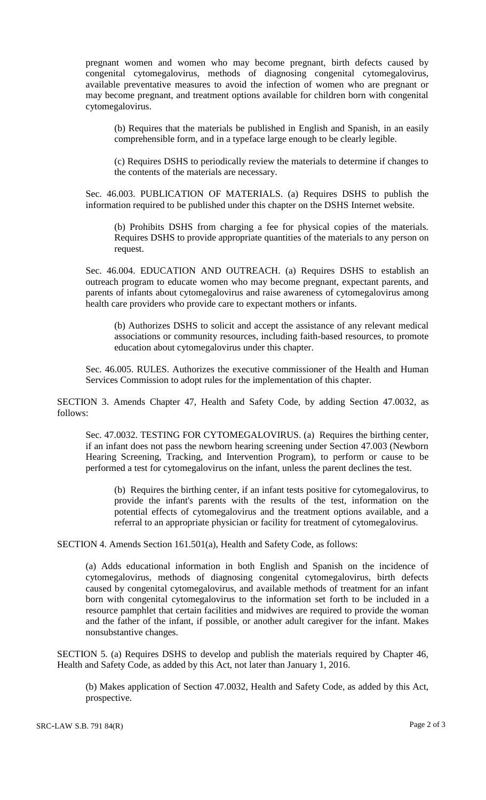pregnant women and women who may become pregnant, birth defects caused by congenital cytomegalovirus, methods of diagnosing congenital cytomegalovirus, available preventative measures to avoid the infection of women who are pregnant or may become pregnant, and treatment options available for children born with congenital cytomegalovirus.

(b) Requires that the materials be published in English and Spanish, in an easily comprehensible form, and in a typeface large enough to be clearly legible.

(c) Requires DSHS to periodically review the materials to determine if changes to the contents of the materials are necessary.

Sec. 46.003. PUBLICATION OF MATERIALS. (a) Requires DSHS to publish the information required to be published under this chapter on the DSHS Internet website.

(b) Prohibits DSHS from charging a fee for physical copies of the materials. Requires DSHS to provide appropriate quantities of the materials to any person on request.

Sec. 46.004. EDUCATION AND OUTREACH. (a) Requires DSHS to establish an outreach program to educate women who may become pregnant, expectant parents, and parents of infants about cytomegalovirus and raise awareness of cytomegalovirus among health care providers who provide care to expectant mothers or infants.

(b) Authorizes DSHS to solicit and accept the assistance of any relevant medical associations or community resources, including faith-based resources, to promote education about cytomegalovirus under this chapter.

Sec. 46.005. RULES. Authorizes the executive commissioner of the Health and Human Services Commission to adopt rules for the implementation of this chapter.

SECTION 3. Amends Chapter 47, Health and Safety Code, by adding Section 47.0032, as follows:

Sec. 47.0032. TESTING FOR CYTOMEGALOVIRUS. (a) Requires the birthing center, if an infant does not pass the newborn hearing screening under Section 47.003 (Newborn Hearing Screening, Tracking, and Intervention Program), to perform or cause to be performed a test for cytomegalovirus on the infant, unless the parent declines the test.

(b) Requires the birthing center, if an infant tests positive for cytomegalovirus, to provide the infant's parents with the results of the test, information on the potential effects of cytomegalovirus and the treatment options available, and a referral to an appropriate physician or facility for treatment of cytomegalovirus.

SECTION 4. Amends Section 161.501(a), Health and Safety Code, as follows:

(a) Adds educational information in both English and Spanish on the incidence of cytomegalovirus, methods of diagnosing congenital cytomegalovirus, birth defects caused by congenital cytomegalovirus, and available methods of treatment for an infant born with congenital cytomegalovirus to the information set forth to be included in a resource pamphlet that certain facilities and midwives are required to provide the woman and the father of the infant, if possible, or another adult caregiver for the infant. Makes nonsubstantive changes.

SECTION 5. (a) Requires DSHS to develop and publish the materials required by Chapter 46, Health and Safety Code, as added by this Act, not later than January 1, 2016.

(b) Makes application of Section 47.0032, Health and Safety Code, as added by this Act, prospective.